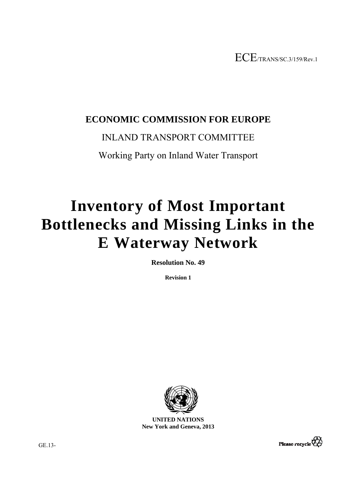ECE/TRANS/SC.3/159/Rev.1

# **ECONOMIC COMMISSION FOR EUROPE**

# INLAND TRANSPORT COMMITTEE

Working Party on Inland Water Transport

# **Inventory of Most Important Bottlenecks and Missing Links in the E Waterway Network**

**Resolution No. 49** 

**Revision 1** 



**UNITED NATIONS New York and Geneva, 2013** 

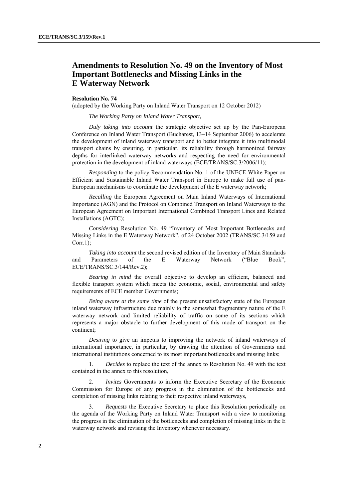# **Amendments to Resolution No. 49 on the Inventory of Most Important Bottlenecks and Missing Links in the E Waterway Network**

#### **Resolution No. 74**

(adopted by the Working Party on Inland Water Transport on 12 October 2012)

 *The Working Party on Inland Water Transport,* 

 *Duly taking into account* the strategic objective set up by the Pan-European Conference on Inland Water Transport (Bucharest, 13–14 September 2006) to accelerate the development of inland waterway transport and to better integrate it into multimodal transport chains by ensuring, in particular, its reliability through harmonized fairway depths for interlinked waterway networks and respecting the need for environmental protection in the development of inland waterways (ECE/TRANS/SC.3/2006/11);

 *Responding* to the policy Recommendation No. 1 of the UNECE White Paper on Efficient and Sustainable Inland Water Transport in Europe to make full use of pan-European mechanisms to coordinate the development of the E waterway network;

 *Recalling* the European Agreement on Main Inland Waterways of International Importance (AGN) and the Protocol on Combined Transport on Inland Waterways to the European Agreement on Important International Combined Transport Lines and Related Installations (AGTC);

 *Considering* Resolution No. 49 "Inventory of Most Important Bottlenecks and Missing Links in the E Waterway Network", of 24 October 2002 (TRANS/SC.3/159 and Corr.1);

 *Taking into account* the second revised edition of the Inventory of Main Standards and Parameters of the E Waterway Network ("Blue Book", ECE/TRANS/SC.3/144/Rev.2);

 *Bearing in mind* the overall objective to develop an efficient, balanced and flexible transport system which meets the economic, social, environmental and safety requirements of ECE member Governments;

 *Being aware at the same time* of the present unsatisfactory state of the European inland waterway infrastructure due mainly to the somewhat fragmentary nature of the E waterway network and limited reliability of traffic on some of its sections which represents a major obstacle to further development of this mode of transport on the continent;

 *Desiring* to give an impetus to improving the network of inland waterways of international importance, in particular, by drawing the attention of Governments and international institutions concerned to its most important bottlenecks and missing links;

 1. *Decides* to replace the text of the annex to Resolution No. 49 with the text contained in the annex to this resolution,

 2. *Invites* Governments to inform the Executive Secretary of the Economic Commission for Europe of any progress in the elimination of the bottlenecks and completion of missing links relating to their respective inland waterways,

 3. *Requests* the Executive Secretary to place this Resolution periodically on the agenda of the Working Party on Inland Water Transport with a view to monitoring the progress in the elimination of the bottlenecks and completion of missing links in the E waterway network and revising the Inventory whenever necessary.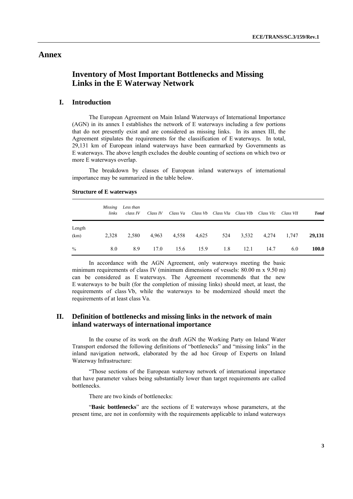# **Annex**

# **Inventory of Most Important Bottlenecks and Missing Links in the E Waterway Network**

## **I. Introduction**

 The European Agreement on Main Inland Waterways of International Importance (AGN) in its annex I establishes the network of E waterways including a few portions that do not presently exist and are considered as missing links. In its annex III, the Agreement stipulates the requirements for the classification of E waterways. In total, 29,131 km of European inland waterways have been earmarked by Governments as E waterways. The above length excludes the double counting of sections on which two or more E waterways overlap.

 The breakdown by classes of European inland waterways of international importance may be summarized in the table below.

#### **Structure of E waterways**

|                | Missing<br>links | Less than<br>class IV | Class IV | Class Va |       | Class Vb Class VIa Class VIb |       | Class VIc | Class VII | <b>Total</b> |
|----------------|------------------|-----------------------|----------|----------|-------|------------------------------|-------|-----------|-----------|--------------|
| Length<br>(km) | 2,328            | 2,580                 | 4,963    | 4,558    | 4,625 | 524                          | 3,532 | 4,274     | 1,747     | 29,131       |
| $\frac{0}{0}$  | 8.0              | 8.9                   | 17.0     | 15.6     | 15.9  | 1.8                          | 12.1  | 14.7      | 6.0       | 100.0        |

 In accordance with the AGN Agreement, only waterways meeting the basic minimum requirements of class IV (minimum dimensions of vessels: 80.00 m x 9.50 m) can be considered as E waterways. The Agreement recommends that the new E waterways to be built (for the completion of missing links) should meet, at least, the requirements of class Vb, while the waterways to be modernized should meet the requirements of at least class Va.

## **II. Definition of bottlenecks and missing links in the network of main inland waterways of international importance**

 In the course of its work on the draft AGN the Working Party on Inland Water Transport endorsed the following definitions of "bottlenecks" and "missing links" in the inland navigation network, elaborated by the ad hoc Group of Experts on Inland Waterway Infrastructure:

 "Those sections of the European waterway network of international importance that have parameter values being substantially lower than target requirements are called bottlenecks.

There are two kinds of bottlenecks:

 "**Basic bottlenecks**" are the sections of E waterways whose parameters, at the present time, are not in conformity with the requirements applicable to inland waterways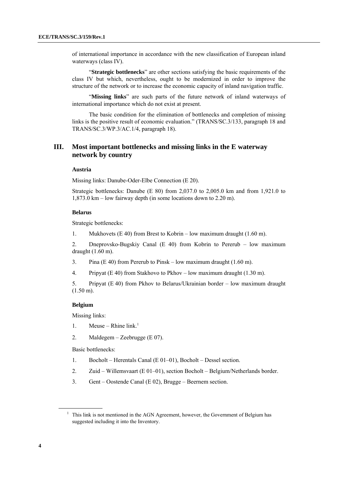of international importance in accordance with the new classification of European inland waterways (class IV).

 "**Strategic bottlenecks**" are other sections satisfying the basic requirements of the class IV but which, nevertheless, ought to be modernized in order to improve the structure of the network or to increase the economic capacity of inland navigation traffic.

 "**Missing links**" are such parts of the future network of inland waterways of international importance which do not exist at present.

 The basic condition for the elimination of bottlenecks and completion of missing links is the positive result of economic evaluation." (TRANS/SC.3/133, paragraph 18 and TRANS/SC.3/WP.3/AC.1/4, paragraph 18).

## **III. Most important bottlenecks and missing links in the E waterway network by country**

#### **Austria**

Missing links: Danube-Oder-Elbe Connection (E 20).

Strategic bottlenecks: Danube (E 80) from 2,037.0 to 2,005.0 km and from 1,921.0 to 1,873.0 km – low fairway depth (in some locations down to 2.20 m).

#### **Belarus**

Strategic bottlenecks:

1. Mukhovets (E 40) from Brest to Kobrin – low maximum draught (1.60 m).

2. Dneprovsko-Bugskiy Canal (E 40) from Kobrin to Pererub – low maximum draught (1.60 m).

- 3. Pina (E 40) from Pererub to Pinsk low maximum draught (1.60 m).
- 4. Pripyat (E 40) from Stakhovo to Pkhov low maximum draught (1.30 m).

5. Pripyat (E 40) from Pkhov to Belarus/Ukrainian border – low maximum draught (1.50 m).

#### **Belgium**

Missing links:

- 1. Meuse Rhine  $link<sup>1</sup>$
- 2. Maldegem Zeebrugge (E 07).

Basic bottlenecks:

- 1. Bocholt Herentals Canal (E 01–01), Bocholt Dessel section.
- 2. Zuid Willemsvaart (E 01–01), section Bocholt Belgium/Netherlands border.
- 3. Gent Oostende Canal (E 02), Brugge Beernem section.

 $\overline{a}$ 

<sup>1</sup> This link is not mentioned in the AGN Agreement, however, the Government of Belgium has suggested including it into the Inventory.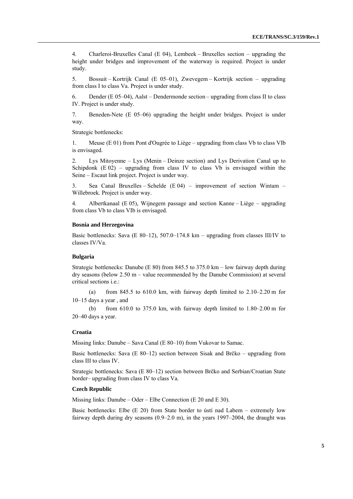4. Charleroi-Bruxelles Canal (E 04), Lembeek – Bruxelles section – upgrading the height under bridges and improvement of the waterway is required. Project is under study.

5. Bossuit – Kortrijk Canal (E 05–01), Zwevegem – Kortrijk section – upgrading from class I to class Va. Project is under study.

6. Dender (E 05–04), Aalst – Dendermonde section – upgrading from class II to class IV. Project is under study.

7. Beneden-Nete (E 05–06) upgrading the height under bridges. Project is under way.

Strategic bottlenecks:

1. Meuse (E 01) from Pont d'Ougrée to Liège – upgrading from class Vb to class VIb is envisaged.

2. Lys Mitoyenne – Lys (Menin – Deinze section) and Lys Derivation Canal up to Schipdonk  $(E 02)$  – upgrading from class IV to class Vb is envisaged within the Seine – Escaut link project. Project is under way.

3. Sea Canal Bruxelles – Schelde (E 04) – improvement of section Wintam – Willebroek. Project is under way.

4. Albertkanaal (E 05), Wijnegem passage and section Kanne – Liège – upgrading from class Vb to class VIb is envisaged.

#### **Bosnia and Herzegovina**

Basic bottlenecks: Sava (E 80–12), 507.0–174.8 km – upgrading from classes III/IV to classes IV/Va.

#### **Bulgaria**

Strategic bottlenecks: Danube (E 80) from 845.5 to 375.0 km – low fairway depth during dry seasons (below 2.50 m – value recommended by the Danube Commission) at several critical sections i.e.:

(a) from 845.5 to 610.0 km, with fairway depth limited to  $2.10-2.20$  m for 10–15 days a year , and

(b) from  $610.0$  to  $375.0$  km, with fairway depth limited to  $1.80-2.00$  m for 20–40 days a year.

#### **Croatia**

Missing links: Danube – Sava Canal (E 80–10) from Vukovar to Samac.

Basic bottlenecks: Sava (E 80–12) section between Sisak and Brčko – upgrading from class III to class IV.

Strategic bottlenecks: Sava (E 80–12) section between Brčko and Serbian/Croatian State border– upgrading from class IV to class Va.

#### **Czech Republic**

Missing links: Danube – Oder – Elbe Connection (E 20 and E 30).

Basic bottlenecks: Elbe (E 20) from State border to ústí nad Labem – extremely low fairway depth during dry seasons (0.9–2.0 m), in the years 1997–2004, the draught was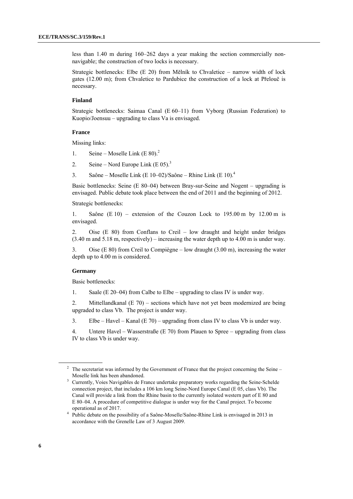less than 1.40 m during 160–262 days a year making the section commercially nonnavigable; the construction of two locks is necessary.

Strategic bottlenecks: Elbe (E 20) from Mělník to Chvaletice – narrow width of lock gates (12.00 m); from Chvaletice to Pardubice the construction of a lock at Přelouč is necessary.

#### **Finland**

Strategic bottlenecks: Saimaa Canal (E 60–11) from Vyborg (Russian Federation) to Kuopio/Joensuu – upgrading to class Va is envisaged.

#### **France**

Missing links:

- 1. Seine Moselle Link (E  $80^2$ )<sup>2</sup>
- 2. Seine Nord Europe Link  $(E\ 05)^3$
- 3. Saône Moselle Link (E  $10-02$ )/Saône Rhine Link (E  $10<sup>4</sup>$ )

Basic bottlenecks: Seine (E 80–04) between Bray-sur-Seine and Nogent – upgrading is envisaged. Public debate took place between the end of 2011 and the beginning of 2012.

Strategic bottlenecks:

1. Saône (E 10) – extension of the Couzon Lock to 195.00 m by 12.00 m is envisaged.

2. Oise (E 80) from Conflans to Creil – low draught and height under bridges (3.40 m and 5.18 m, respectively) – increasing the water depth up to 4.00 m is under way.

3. Oise (E 80) from Creil to Compiègne – low draught (3.00 m), increasing the water depth up to 4.00 m is considered.

#### **Germany**

Basic bottlenecks:

1. Saale (E 20–04) from Calbe to Elbe – upgrading to class IV is under way.

2. Mittellandkanal (E 70) – sections which have not yet been modernized are being upgraded to class Vb. The project is under way.

3. Elbe – Havel – Kanal (E 70) – upgrading from class IV to class Vb is under way.

4. Untere Havel – Wasserstraße (E 70) from Plauen to Spree – upgrading from class IV to class Vb is under way.

 $\overline{a}$ 

 $2\degree$  The secretariat was informed by the Government of France that the project concerning the Seine – Moselle link has been abandoned.

<sup>&</sup>lt;sup>3</sup> Currently, Voies Navigables de France undertake preparatory works regarding the Seine-Schelde connection project, that includes a 106 km long Seine-Nord Europe Canal (E 05, class Vb). The Canal will provide a link from the Rhine basin to the currently isolated western part of E 80 and E 80–04. A procedure of competitive dialogue is under way for the Canal project. To become operational as of 2017.

Public debate on the possibility of a Saône-Moselle/Saône-Rhine Link is envisaged in 2013 in accordance with the Grenelle Law of 3 August 2009.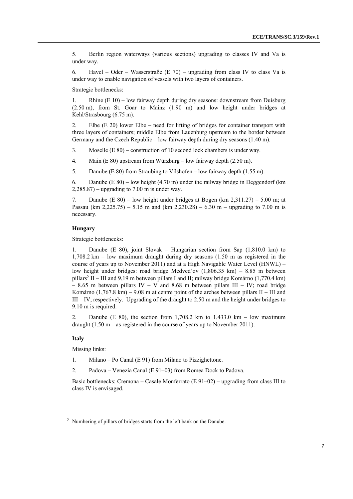5. Berlin region waterways (various sections) upgrading to classes IV and Va is under way.

6. Havel – Oder – Wasserstraße (E 70) – upgrading from class IV to class Va is under way to enable navigation of vessels with two layers of containers.

Strategic bottlenecks:

1. Rhine (E 10) – low fairway depth during dry seasons: downstream from Duisburg (2.50 m), from St. Goar to Mainz (1.90 m) and low height under bridges at Kehl/Strasbourg (6.75 m).

2. Elbe (E 20) lower Elbe – need for lifting of bridges for container transport with three layers of containers; middle Elbe from Lauenburg upstream to the border between Germany and the Czech Republic – low fairway depth during dry seasons (1.40 m).

3. Moselle (E 80) – construction of 10 second lock chambers is under way.

4. Main (E 80) upstream from Würzburg – low fairway depth (2.50 m).

5. Danube (E 80) from Straubing to Vilshofen – low fairway depth (1.55 m).

6. Danube (E 80) – low height (4.70 m) under the railway bridge in Deggendorf (km  $2,285.87$  – upgrading to 7.00 m is under way.

7. Danube (E 80) – low height under bridges at Bogen (km 2,311.27) – 5.00 m; at Passau (km 2,225.75) – 5.15 m and (km 2,230.28) – 6.30 m – upgrading to 7.00 m is necessary.

#### **Hungary**

Strategic bottlenecks:

1. Danube (E 80), joint Slovak – Hungarian section from Sap (1,810.0 km) to 1,708.2 km – low maximum draught during dry seasons (1.50 m as registered in the course of years up to November 2011) and at a High Navigable Water Level (HNWL) – low height under bridges: road bridge Medved'ov (1,806.35 km) – 8.85 m between pillars<sup>5</sup> II – III and 9,19 m between pillars I and II; railway bridge Komárno (1,770.4 km)  $-$  8.65 m between pillars IV – V and 8.68 m between pillars III – IV; road bridge Komárno  $(1,767.8 \text{ km}) - 9.08 \text{ m}$  at centre point of the arches between pillars II – III and III – IV, respectively. Upgrading of the draught to 2.50 m and the height under bridges to 9.10 m is required.

2. Danube (E 80), the section from 1,708.2 km to 1,433.0 km – low maximum draught  $(1.50 \text{ m} - \text{as registered in the course of years up to November 2011}).$ 

#### **Italy**

 $\overline{a}$ 

Missing links:

- 1. Milano Po Canal (E 91) from Milano to Pizzighettone.
- 2. Padova Venezia Canal (E 91–03) from Romea Dock to Padova.

Basic bottlenecks: Cremona – Casale Monferrato (E 91–02) – upgrading from class III to class IV is envisaged.

<sup>&</sup>lt;sup>5</sup> Numbering of pillars of bridges starts from the left bank on the Danube.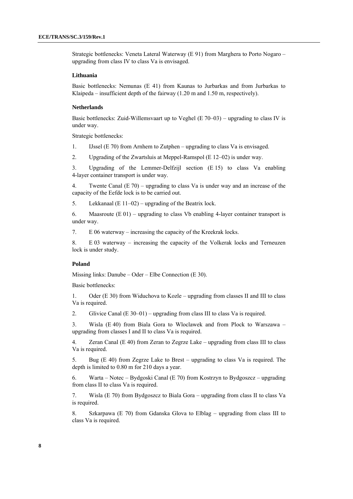Strategic bottlenecks: Veneta Lateral Waterway (E 91) from Marghera to Porto Nogaro – upgrading from class IV to class Va is envisaged.

#### **Lithuania**

Basic bottlenecks: Nemunas (E 41) from Kaunas to Jurbarkas and from Jurbarkas to Klaipeda – insufficient depth of the fairway (1.20 m and 1.50 m, respectively).

#### **Netherlands**

Basic bottlenecks: Zuid-Willemsvaart up to Veghel ( $E$  70–03) – upgrading to class IV is under way.

Strategic bottlenecks:

1. IJssel (E 70) from Arnhem to Zutphen – upgrading to class Va is envisaged.

2. Upgrading of the Zwartsluis at Meppel-Ramspol (E 12–02) is under way.

3. Upgrading of the Lemmer-Delfzijl section (E 15) to class Va enabling 4-layer container transport is under way.

4. Twente Canal (E 70) – upgrading to class Va is under way and an increase of the capacity of the Eefde lock is to be carried out.

5. Lekkanaal (E 11–02) – upgrading of the Beatrix lock.

6. Maasroute  $(E 01)$  – upgrading to class Vb enabling 4-layer container transport is under way.

7. E 06 waterway – increasing the capacity of the Kreekrak locks.

8. E 03 waterway – increasing the capacity of the Volkerak locks and Terneuzen lock is under study.

#### **Poland**

Missing links: Danube – Oder – Elbe Connection (E 30).

Basic bottlenecks:

1. Oder (E 30) from Widuchova to Kozle – upgrading from classes II and III to class Va is required.

2. Glivice Canal  $(E 30-01)$  – upgrading from class III to class Va is required.

3. Wisla (E 40) from Biala Gora to Wloclawek and from Plock to Warszawa – upgrading from classes I and II to class Va is required.

4. Zeran Canal (E 40) from Zeran to Zegrze Lake – upgrading from class III to class Va is required.

5. Bug (E 40) from Zegrze Lake to Brest – upgrading to class Va is required. The depth is limited to 0.80 m for 210 days a year.

6. Warta – Notec – Bydgoski Canal (E 70) from Kostrzyn to Bydgoszcz – upgrading from class II to class Va is required.

7. Wisla (E 70) from Bydgoszcz to Biala Gora – upgrading from class II to class Va is required.

8. Szkarpawa (E 70) from Gdanska Glova to Elblag – upgrading from class III to class Va is required.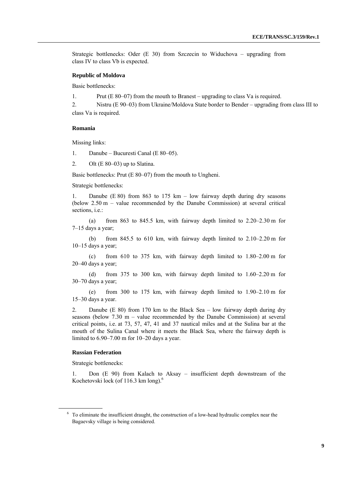Strategic bottlenecks: Oder (E 30) from Szczecin to Widuchova – upgrading from class IV to class Vb is expected.

#### **Republic of Moldova**

Basic bottlenecks:

1. Prut (E 80–07) from the mouth to Branest – upgrading to class Va is required.

2. Nistru (E 90–03) from Ukraine/Moldova State border to Bender – upgrading from class III to class Va is required.

#### **Romania**

Missing links:

1. Danube – Bucuresti Canal (E 80–05).

2. Olt (E 80–03) up to Slatina.

Basic bottlenecks: Prut (E 80–07) from the mouth to Ungheni.

Strategic bottlenecks:

1. Danube (E 80) from 863 to 175 km – low fairway depth during dry seasons (below 2.50 m – value recommended by the Danube Commission) at several critical sections, i.e.:

 (a) from 863 to 845.5 km, with fairway depth limited to 2.20–2.30 m for 7–15 days a year;

 (b) from 845.5 to 610 km, with fairway depth limited to 2.10–2.20 m for 10–15 days a year;

 (c) from 610 to 375 km, with fairway depth limited to 1.80–2.00 m for 20–40 days a year;

 (d) from 375 to 300 km, with fairway depth limited to 1.60–2.20 m for 30–70 days a year;

 (e) from 300 to 175 km, with fairway depth limited to 1.90–2.10 m for 15–30 days a year.

2. Danube (E 80) from 170 km to the Black Sea – low fairway depth during dry seasons (below 7.30 m – value recommended by the Danube Commission) at several critical points, i.e. at 73, 57, 47, 41 and 37 nautical miles and at the Sulina bar at the mouth of the Sulina Canal where it meets the Black Sea, where the fairway depth is limited to 6.90–7.00 m for 10–20 days a year.

#### **Russian Federation**

Strategic bottlenecks:

 $\overline{a}$ 

1. Don (E 90) from Kalach to Aksay – insufficient depth downstream of the Kochetovski lock (of 116.3 km long).<sup>6</sup>

 $6\degree$  To eliminate the insufficient draught, the construction of a low-head hydraulic complex near the Bagaevsky village is being considered.